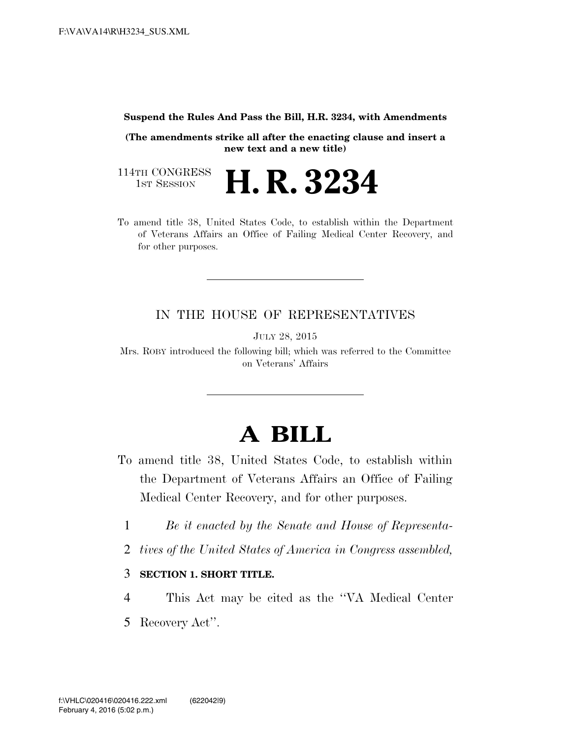#### **Suspend the Rules And Pass the Bill, H.R. 3234, with Amendments**

**(The amendments strike all after the enacting clause and insert a new text and a new title)** 

114TH CONGRESS<br>1st Session

**H. R. 3234** 

To amend title 38, United States Code, to establish within the Department of Veterans Affairs an Office of Failing Medical Center Recovery, and for other purposes.

### IN THE HOUSE OF REPRESENTATIVES

JULY 28, 2015

Mrs. ROBY introduced the following bill; which was referred to the Committee on Veterans' Affairs

# **A BILL**

- To amend title 38, United States Code, to establish within the Department of Veterans Affairs an Office of Failing Medical Center Recovery, and for other purposes.
	- 1 *Be it enacted by the Senate and House of Representa-*
	- 2 *tives of the United States of America in Congress assembled,*

### 3 **SECTION 1. SHORT TITLE.**

4 This Act may be cited as the ''VA Medical Center 5 Recovery Act''.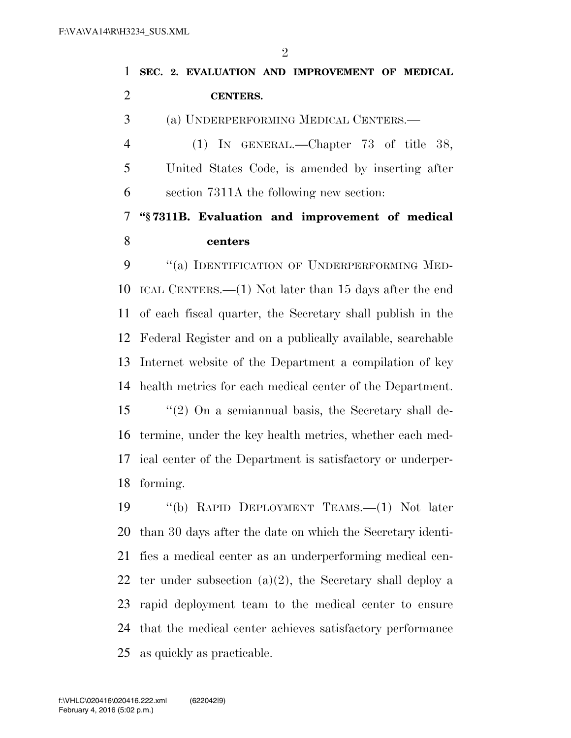**SEC. 2. EVALUATION AND IMPROVEMENT OF MEDICAL CENTERS.**  (a) UNDERPERFORMING MEDICAL CENTERS.— (1) IN GENERAL.—Chapter 73 of title 38, United States Code, is amended by inserting after section 7311A the following new section: **''§ 7311B. Evaluation and improvement of medical centers**  9 "(a) IDENTIFICATION OF UNDERPERFORMING MED- ICAL CENTERS.—(1) Not later than 15 days after the end of each fiscal quarter, the Secretary shall publish in the Federal Register and on a publically available, searchable Internet website of the Department a compilation of key health metrics for each medical center of the Department. ''(2) On a semiannual basis, the Secretary shall de- termine, under the key health metrics, whether each med- ical center of the Department is satisfactory or underper-forming.

 ''(b) RAPID DEPLOYMENT TEAMS.—(1) Not later than 30 days after the date on which the Secretary identi- fies a medical center as an underperforming medical cen-22 ter under subsection  $(a)(2)$ , the Secretary shall deploy a rapid deployment team to the medical center to ensure that the medical center achieves satisfactory performance as quickly as practicable.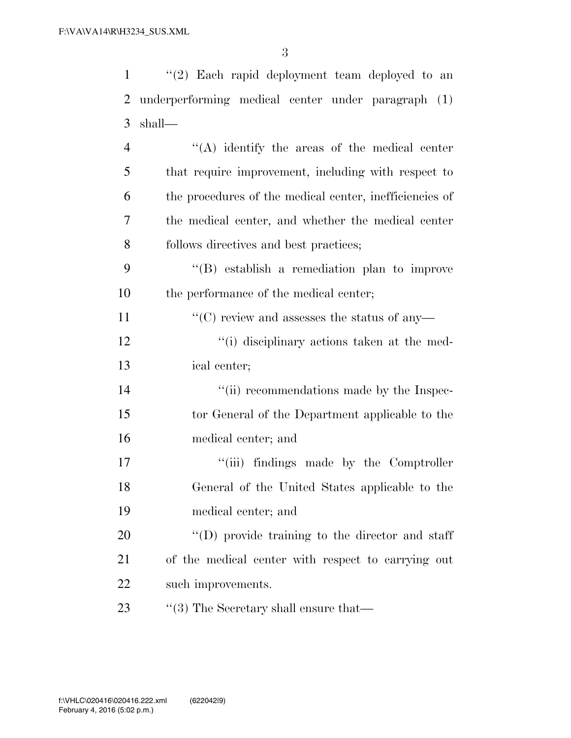| $\mathbf{1}$   | $(2)$ Each rapid deployment team deployed to an         |
|----------------|---------------------------------------------------------|
| $\overline{2}$ | underperforming medical center under paragraph (1)      |
| 3              | shall—                                                  |
| $\overline{4}$ | "(A) identify the areas of the medical center           |
| 5              | that require improvement, including with respect to     |
| 6              | the procedures of the medical center, inefficiencies of |
| 7              | the medical center, and whether the medical center      |
| 8              | follows directives and best practices;                  |
| 9              | "(B) establish a remediation plan to improve            |
| 10             | the performance of the medical center;                  |
| 11             | $\lq\lq$ (C) review and assesses the status of any-     |
| 12             | "(i) disciplinary actions taken at the med-             |
| 13             | ical center;                                            |
| 14             | "(ii) recommendations made by the Inspec-               |
| 15             | tor General of the Department applicable to the         |
| 16             | medical center; and                                     |
| 17             | "(iii) findings made by the Comptroller                 |
| 18             | General of the United States applicable to the          |
| 19             | medical center; and                                     |
| 20             | $\lq\lq$ (D) provide training to the director and staff |
| 21             | of the medical center with respect to carrying out      |
| 22             | such improvements.                                      |
| 23             | $\cdot$ (3) The Secretary shall ensure that—            |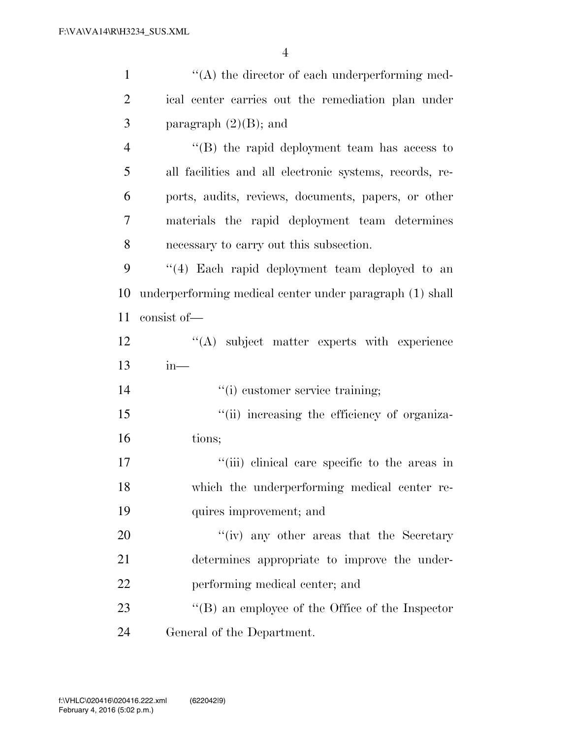| $\mathbf{1}$   | $\lq\lq$ the director of each underperforming med-       |
|----------------|----------------------------------------------------------|
| $\overline{2}$ | ical center carries out the remediation plan under       |
| 3              | paragraph $(2)(B)$ ; and                                 |
| $\overline{4}$ | "(B) the rapid deployment team has access to             |
| 5              | all facilities and all electronic systems, records, re-  |
| 6              | ports, audits, reviews, documents, papers, or other      |
| 7              | materials the rapid deployment team determines           |
| 8              | necessary to carry out this subsection.                  |
| 9              | "(4) Each rapid deployment team deployed to an           |
| 10             | underperforming medical center under paragraph (1) shall |
| 11             | consist of-                                              |
| 12             | "(A) subject matter experts with experience              |
| 13             | $in-$                                                    |
| 14             | "(i) customer service training;                          |
| 15             | "(ii) increasing the efficiency of organiza-             |
| 16             | tions;                                                   |
| 17             | "(iii) clinical care specific to the areas in            |
| 18             | which the underperforming medical center re-             |
| 19             | quires improvement; and                                  |
| 20             | "(iv) any other areas that the Secretary                 |
| 21             | determines appropriate to improve the under-             |
| 22             | performing medical center; and                           |
| 23             | $\lq\lq (B)$ an employee of the Office of the Inspector  |
| 24             | General of the Department.                               |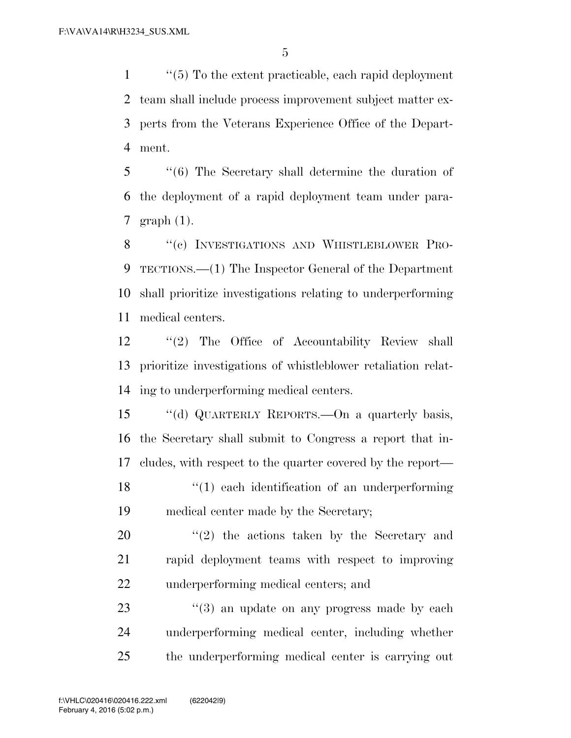''(5) To the extent practicable, each rapid deployment team shall include process improvement subject matter ex- perts from the Veterans Experience Office of the Depart-ment.

 ''(6) The Secretary shall determine the duration of the deployment of a rapid deployment team under para-graph (1).

8 "(c) INVESTIGATIONS AND WHISTLEBLOWER PRO- TECTIONS.—(1) The Inspector General of the Department shall prioritize investigations relating to underperforming medical centers.

 ''(2) The Office of Accountability Review shall prioritize investigations of whistleblower retaliation relat-ing to underperforming medical centers.

 ''(d) QUARTERLY REPORTS.—On a quarterly basis, the Secretary shall submit to Congress a report that in- cludes, with respect to the quarter covered by the report— 18 ''(1) each identification of an underperforming

medical center made by the Secretary;

 ''(2) the actions taken by the Secretary and rapid deployment teams with respect to improving underperforming medical centers; and

23 ''(3) an update on any progress made by each underperforming medical center, including whether the underperforming medical center is carrying out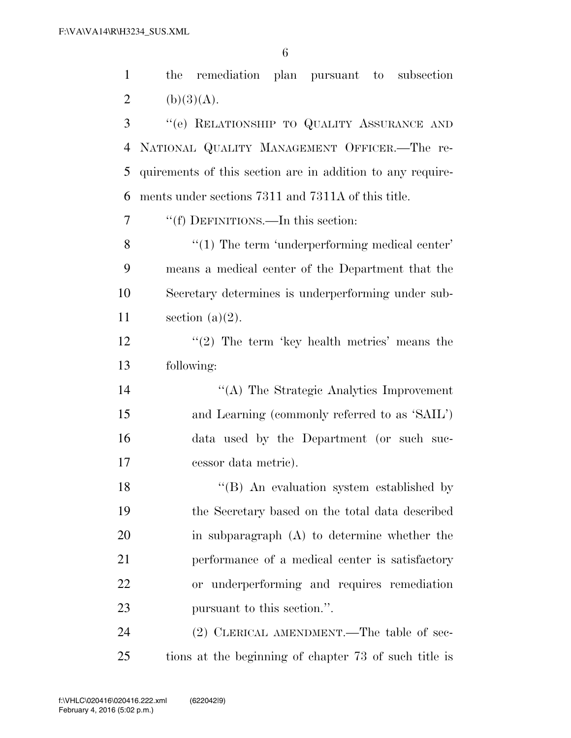the remediation plan pursuant to subsection 2 (b)(3)(A). ''(e) RELATIONSHIP TO QUALITY ASSURANCE AND NATIONAL QUALITY MANAGEMENT OFFICER.—The re- quirements of this section are in addition to any require- ments under sections 7311 and 7311A of this title. ''(f) DEFINITIONS.—In this section: 8 "(1) The term 'underperforming medical center' means a medical center of the Department that the Secretary determines is underperforming under sub-11 section  $(a)(2)$ .  $\frac{1}{2}$  The term 'key health metrics' means the following: ''(A) The Strategic Analytics Improvement and Learning (commonly referred to as 'SAIL') data used by the Department (or such suc- cessor data metric). 18 ''(B) An evaluation system established by the Secretary based on the total data described in subparagraph (A) to determine whether the performance of a medical center is satisfactory or underperforming and requires remediation pursuant to this section.''.

24 (2) CLERICAL AMENDMENT.—The table of sec-tions at the beginning of chapter 73 of such title is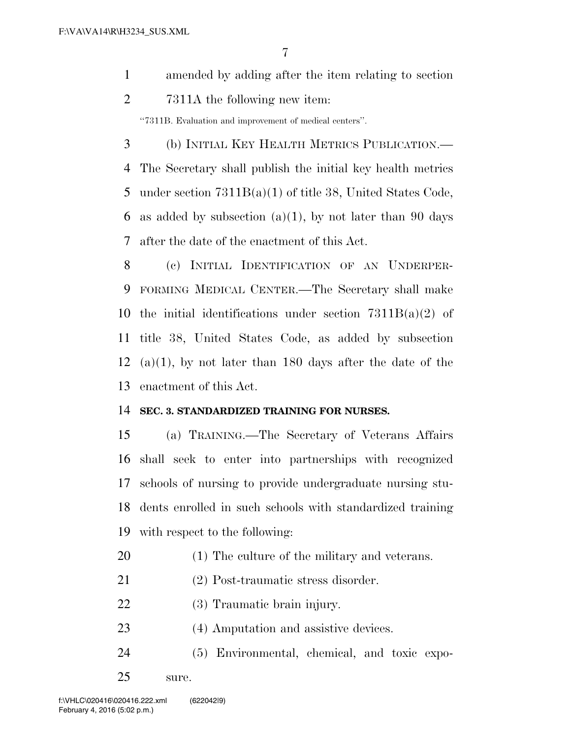- amended by adding after the item relating to section
- 7311A the following new item:

''7311B. Evaluation and improvement of medical centers''.

 (b) INITIAL KEY HEALTH METRICS PUBLICATION.— The Secretary shall publish the initial key health metrics under section 7311B(a)(1) of title 38, United States Code, 6 as added by subsection  $(a)(1)$ , by not later than 90 days after the date of the enactment of this Act.

 (c) INITIAL IDENTIFICATION OF AN UNDERPER- FORMING MEDICAL CENTER.—The Secretary shall make 10 the initial identifications under section  $7311B(a)(2)$  of title 38, United States Code, as added by subsection 12 (a)(1), by not later than 180 days after the date of the enactment of this Act.

## **SEC. 3. STANDARDIZED TRAINING FOR NURSES.**

 (a) TRAINING.—The Secretary of Veterans Affairs shall seek to enter into partnerships with recognized schools of nursing to provide undergraduate nursing stu- dents enrolled in such schools with standardized training with respect to the following:

- (1) The culture of the military and veterans.
- (2) Post-traumatic stress disorder.
- (3) Traumatic brain injury.
- (4) Amputation and assistive devices.
- (5) Environmental, chemical, and toxic expo-
- sure.